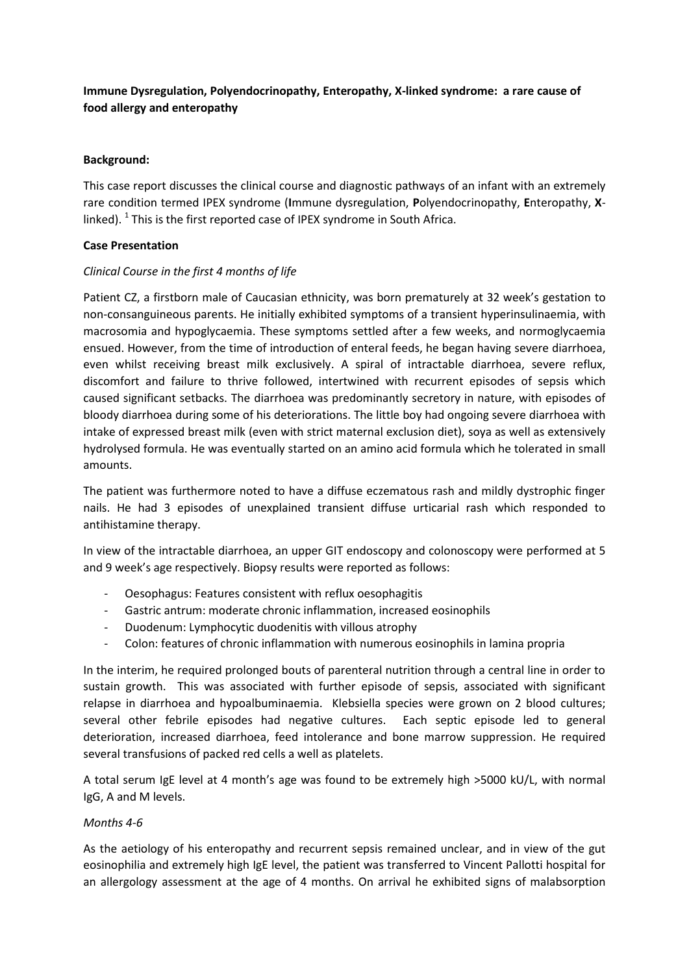# **Immune Dysregulation, Polyendocrinopathy, Enteropathy, X-linked syndrome: a rare cause of food allergy and enteropathy**

## **Background:**

This case report discusses the clinical course and diagnostic pathways of an infant with an extremely rare condition termed IPEX syndrome (**I**mmune dysregulation, **P**olyendocrinopathy, **E**nteropathy, **X**linked).  $^1$  This is the first reported case of IPEX syndrome in South Africa.

# **Case Presentation**

# *Clinical Course in the first 4 months of life*

Patient CZ, a firstborn male of Caucasian ethnicity, was born prematurely at 32 week's gestation to non-consanguineous parents. He initially exhibited symptoms of a transient hyperinsulinaemia, with macrosomia and hypoglycaemia. These symptoms settled after a few weeks, and normoglycaemia ensued. However, from the time of introduction of enteral feeds, he began having severe diarrhoea, even whilst receiving breast milk exclusively. A spiral of intractable diarrhoea, severe reflux, discomfort and failure to thrive followed, intertwined with recurrent episodes of sepsis which caused significant setbacks. The diarrhoea was predominantly secretory in nature, with episodes of bloody diarrhoea during some of his deteriorations. The little boy had ongoing severe diarrhoea with intake of expressed breast milk (even with strict maternal exclusion diet), soya as well as extensively hydrolysed formula. He was eventually started on an amino acid formula which he tolerated in small amounts.

The patient was furthermore noted to have a diffuse eczematous rash and mildly dystrophic finger nails. He had 3 episodes of unexplained transient diffuse urticarial rash which responded to antihistamine therapy.

In view of the intractable diarrhoea, an upper GIT endoscopy and colonoscopy were performed at 5 and 9 week's age respectively. Biopsy results were reported as follows:

- Oesophagus: Features consistent with reflux oesophagitis
- Gastric antrum: moderate chronic inflammation, increased eosinophils
- Duodenum: Lymphocytic duodenitis with villous atrophy
- Colon: features of chronic inflammation with numerous eosinophils in lamina propria

In the interim, he required prolonged bouts of parenteral nutrition through a central line in order to sustain growth. This was associated with further episode of sepsis, associated with significant relapse in diarrhoea and hypoalbuminaemia. Klebsiella species were grown on 2 blood cultures; several other febrile episodes had negative cultures. Each septic episode led to general deterioration, increased diarrhoea, feed intolerance and bone marrow suppression. He required several transfusions of packed red cells a well as platelets.

A total serum IgE level at 4 month's age was found to be extremely high >5000 kU/L, with normal IgG, A and M levels.

# *Months 4-6*

As the aetiology of his enteropathy and recurrent sepsis remained unclear, and in view of the gut eosinophilia and extremely high IgE level, the patient was transferred to Vincent Pallotti hospital for an allergology assessment at the age of 4 months. On arrival he exhibited signs of malabsorption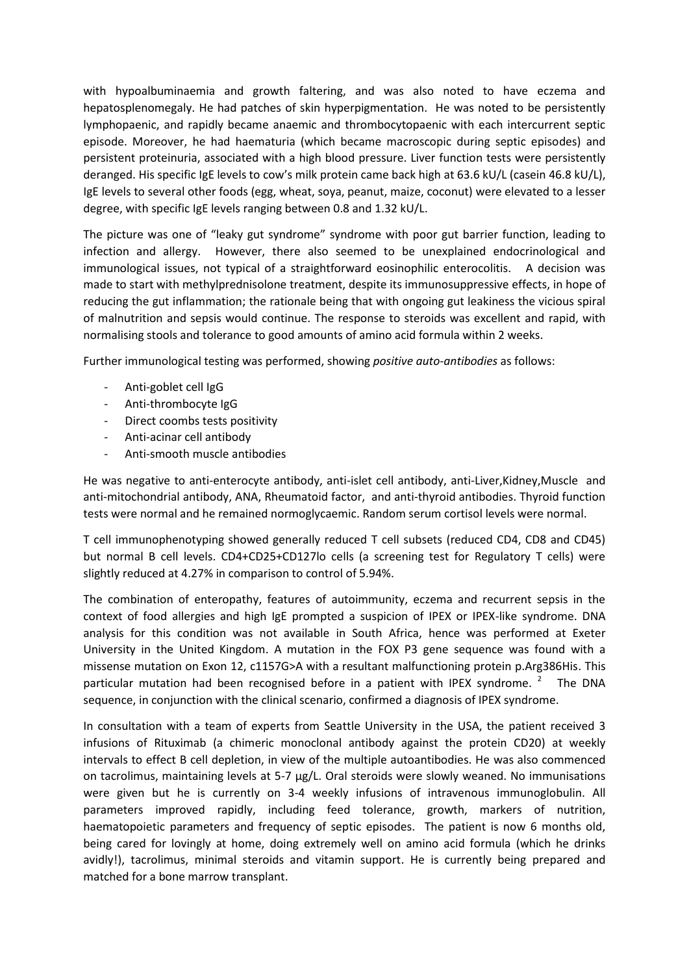with hypoalbuminaemia and growth faltering, and was also noted to have eczema and hepatosplenomegaly. He had patches of skin hyperpigmentation. He was noted to be persistently lymphopaenic, and rapidly became anaemic and thrombocytopaenic with each intercurrent septic episode. Moreover, he had haematuria (which became macroscopic during septic episodes) and persistent proteinuria, associated with a high blood pressure. Liver function tests were persistently deranged. His specific IgE levels to cow's milk protein came back high at 63.6 kU/L (casein 46.8 kU/L), IgE levels to several other foods (egg, wheat, soya, peanut, maize, coconut) were elevated to a lesser degree, with specific IgE levels ranging between 0.8 and 1.32 kU/L.

The picture was one of "leaky gut syndrome" syndrome with poor gut barrier function, leading to infection and allergy. However, there also seemed to be unexplained endocrinological and immunological issues, not typical of a straightforward eosinophilic enterocolitis. A decision was made to start with methylprednisolone treatment, despite its immunosuppressive effects, in hope of reducing the gut inflammation; the rationale being that with ongoing gut leakiness the vicious spiral of malnutrition and sepsis would continue. The response to steroids was excellent and rapid, with normalising stools and tolerance to good amounts of amino acid formula within 2 weeks.

Further immunological testing was performed, showing *positive auto-antibodies* as follows:

- Anti-goblet cell IgG
- Anti-thrombocyte IgG
- Direct coombs tests positivity
- Anti-acinar cell antibody
- Anti-smooth muscle antibodies

He was negative to anti-enterocyte antibody, anti-islet cell antibody, anti-Liver,Kidney,Muscle and anti-mitochondrial antibody, ANA, Rheumatoid factor, and anti-thyroid antibodies. Thyroid function tests were normal and he remained normoglycaemic. Random serum cortisol levels were normal.

T cell immunophenotyping showed generally reduced T cell subsets (reduced CD4, CD8 and CD45) but normal B cell levels. CD4+CD25+CD127lo cells (a screening test for Regulatory T cells) were slightly reduced at 4.27% in comparison to control of 5.94%.

The combination of enteropathy, features of autoimmunity, eczema and recurrent sepsis in the context of food allergies and high IgE prompted a suspicion of IPEX or IPEX-like syndrome. DNA analysis for this condition was not available in South Africa, hence was performed at Exeter University in the United Kingdom. A mutation in the FOX P3 gene sequence was found with a missense mutation on Exon 12, c1157G>A with a resultant malfunctioning protein p.Arg386His. This particular mutation had been recognised before in a patient with IPEX syndrome.<sup>2</sup> The DNA sequence, in conjunction with the clinical scenario, confirmed a diagnosis of IPEX syndrome.

In consultation with a team of experts from Seattle University in the USA, the patient received 3 infusions of Rituximab (a chimeric monoclonal antibody against the protein CD20) at weekly intervals to effect B cell depletion, in view of the multiple autoantibodies. He was also commenced on tacrolimus, maintaining levels at 5-7 µg/L. Oral steroids were slowly weaned. No immunisations were given but he is currently on 3-4 weekly infusions of intravenous immunoglobulin. All parameters improved rapidly, including feed tolerance, growth, markers of nutrition, haematopoietic parameters and frequency of septic episodes. The patient is now 6 months old, being cared for lovingly at home, doing extremely well on amino acid formula (which he drinks avidly!), tacrolimus, minimal steroids and vitamin support. He is currently being prepared and matched for a bone marrow transplant.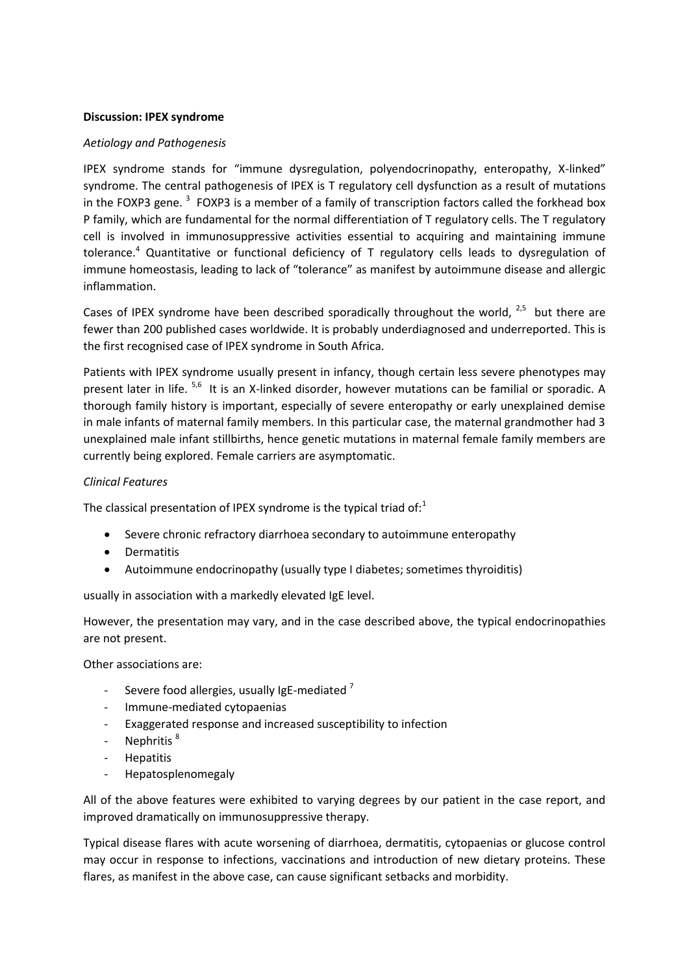### **Discussion: IPEX syndrome**

## *Aetiology and Pathogenesis*

IPEX syndrome stands for "immune dysregulation, polyendocrinopathy, enteropathy, X-linked" syndrome. The central pathogenesis of IPEX is T regulatory cell dysfunction as a result of mutations in the FOXP3 gene.  $3$  FOXP3 is a member of a family of transcription factors called the forkhead box P family, which are fundamental for the normal differentiation of T regulatory cells. The T regulatory cell is involved in immunosuppressive activities essential to acquiring and maintaining immune tolerance.<sup>4</sup> Quantitative or functional deficiency of T regulatory cells leads to dysregulation of immune homeostasis, leading to lack of "tolerance" as manifest by autoimmune disease and allergic inflammation.

Cases of IPEX syndrome have been described sporadically throughout the world,  $2.5$  but there are fewer than 200 published cases worldwide. It is probably underdiagnosed and underreported. This is the first recognised case of IPEX syndrome in South Africa.

Patients with IPEX syndrome usually present in infancy, though certain less severe phenotypes may present later in life. <sup>5,6</sup> It is an X-linked disorder, however mutations can be familial or sporadic. A thorough family history is important, especially of severe enteropathy or early unexplained demise in male infants of maternal family members. In this particular case, the maternal grandmother had 3 unexplained male infant stillbirths, hence genetic mutations in maternal female family members are currently being explored. Female carriers are asymptomatic.

# *Clinical Features*

The classical presentation of IPEX syndrome is the typical triad of: $<sup>1</sup>$ </sup>

- Severe chronic refractory diarrhoea secondary to autoimmune enteropathy
- **•** Dermatitis
- Autoimmune endocrinopathy (usually type I diabetes; sometimes thyroiditis)

usually in association with a markedly elevated IgE level.

However, the presentation may vary, and in the case described above, the typical endocrinopathies are not present.

Other associations are:

- Severe food allergies, usually IgE-mediated  $<sup>7</sup>$ </sup>
- Immune-mediated cytopaenias
- Exaggerated response and increased susceptibility to infection
- Nephritis<sup>8</sup>
- Hepatitis
- Hepatosplenomegaly

All of the above features were exhibited to varying degrees by our patient in the case report, and improved dramatically on immunosuppressive therapy.

Typical disease flares with acute worsening of diarrhoea, dermatitis, cytopaenias or glucose control may occur in response to infections, vaccinations and introduction of new dietary proteins. These flares, as manifest in the above case, can cause significant setbacks and morbidity.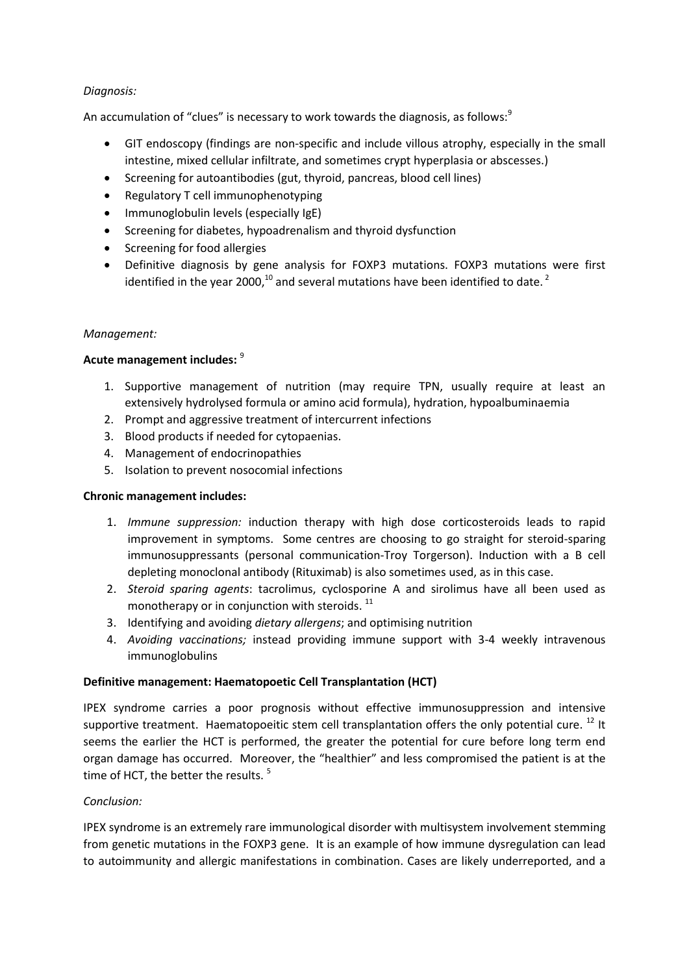# *Diagnosis:*

An accumulation of "clues" is necessary to work towards the diagnosis, as follows:<sup>9</sup>

- GIT endoscopy (findings are non-specific and include villous atrophy, especially in the small intestine, mixed cellular infiltrate, and sometimes crypt hyperplasia or abscesses.)
- Screening for autoantibodies (gut, thyroid, pancreas, blood cell lines)
- Regulatory T cell immunophenotyping
- Immunoglobulin levels (especially IgE)
- Screening for diabetes, hypoadrenalism and thyroid dysfunction
- Screening for food allergies
- Definitive diagnosis by gene analysis for FOXP3 mutations. FOXP3 mutations were first identified in the year 2000, $^{10}$  and several mutations have been identified to date.<sup>2</sup>

# *Management:*

# **Acute management includes:** <sup>9</sup>

- 1. Supportive management of nutrition (may require TPN, usually require at least an extensively hydrolysed formula or amino acid formula), hydration, hypoalbuminaemia
- 2. Prompt and aggressive treatment of intercurrent infections
- 3. Blood products if needed for cytopaenias.
- 4. Management of endocrinopathies
- 5. Isolation to prevent nosocomial infections

#### **Chronic management includes:**

- 1. *Immune suppression:* induction therapy with high dose corticosteroids leads to rapid improvement in symptoms. Some centres are choosing to go straight for steroid-sparing immunosuppressants (personal communication-Troy Torgerson). Induction with a B cell depleting monoclonal antibody (Rituximab) is also sometimes used, as in this case.
- 2. *Steroid sparing agents*: tacrolimus, cyclosporine A and sirolimus have all been used as monotherapy or in conjunction with steroids.<sup>11</sup>
- 3. Identifying and avoiding *dietary allergens*; and optimising nutrition
- 4. *Avoiding vaccinations;* instead providing immune support with 3-4 weekly intravenous immunoglobulins

#### **Definitive management: Haematopoetic Cell Transplantation (HCT)**

IPEX syndrome carries a poor prognosis without effective immunosuppression and intensive supportive treatment. Haematopoeitic stem cell transplantation offers the only potential cure. <sup>12</sup> It seems the earlier the HCT is performed, the greater the potential for cure before long term end organ damage has occurred. Moreover, the "healthier" and less compromised the patient is at the time of HCT, the better the results.<sup>5</sup>

#### *Conclusion:*

IPEX syndrome is an extremely rare immunological disorder with multisystem involvement stemming from genetic mutations in the FOXP3 gene. It is an example of how immune dysregulation can lead to autoimmunity and allergic manifestations in combination. Cases are likely underreported, and a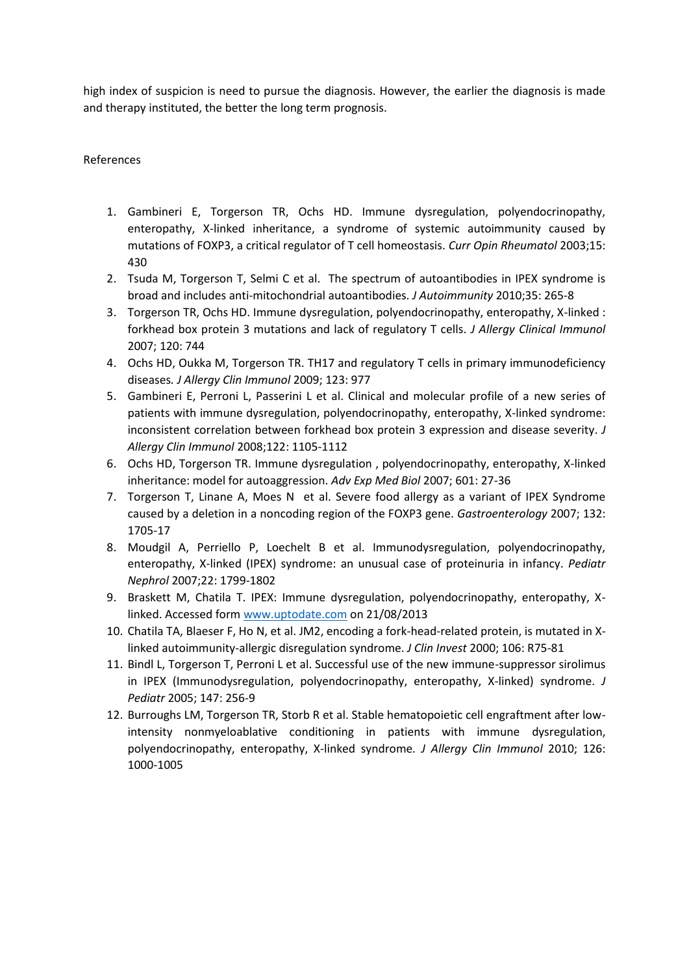high index of suspicion is need to pursue the diagnosis. However, the earlier the diagnosis is made and therapy instituted, the better the long term prognosis.

## References

- 1. Gambineri E, Torgerson TR, Ochs HD. Immune dysregulation, polyendocrinopathy, enteropathy, X-linked inheritance, a syndrome of systemic autoimmunity caused by mutations of FOXP3, a critical regulator of T cell homeostasis. *Curr Opin Rheumatol* 2003;15: 430
- 2. Tsuda M, Torgerson T, Selmi C et al. The spectrum of autoantibodies in IPEX syndrome is broad and includes anti-mitochondrial autoantibodies. *J Autoimmunity* 2010;35: 265-8
- 3. Torgerson TR, Ochs HD. Immune dysregulation, polyendocrinopathy, enteropathy, X-linked : forkhead box protein 3 mutations and lack of regulatory T cells. *J Allergy Clinical Immunol*  2007; 120: 744
- 4. Ochs HD, Oukka M, Torgerson TR. TH17 and regulatory T cells in primary immunodeficiency diseases*. J Allergy Clin Immunol* 2009; 123: 977
- 5. Gambineri E, Perroni L, Passerini L et al. Clinical and molecular profile of a new series of patients with immune dysregulation, polyendocrinopathy, enteropathy, X-linked syndrome: inconsistent correlation between forkhead box protein 3 expression and disease severity. *J Allergy Clin Immunol* 2008;122: 1105-1112
- 6. Ochs HD, Torgerson TR. Immune dysregulation , polyendocrinopathy, enteropathy, X-linked inheritance: model for autoaggression. *Adv Exp Med Biol* 2007; 601: 27-36
- 7. Torgerson T, Linane A, Moes N et al. Severe food allergy as a variant of IPEX Syndrome caused by a deletion in a noncoding region of the FOXP3 gene. *Gastroenterology* 2007; 132: 1705-17
- 8. Moudgil A, Perriello P, Loechelt B et al. Immunodysregulation, polyendocrinopathy, enteropathy, X-linked (IPEX) syndrome: an unusual case of proteinuria in infancy. *Pediatr Nephrol* 2007;22: 1799-1802
- 9. Braskett M, Chatila T. IPEX: Immune dysregulation, polyendocrinopathy, enteropathy, Xlinked. Accessed form [www.uptodate.com](http://www.uptodate.com/) on 21/08/2013
- 10. Chatila TA, Blaeser F, Ho N, et al. JM2, encoding a fork-head-related protein, is mutated in Xlinked autoimmunity-allergic disregulation syndrome. *J Clin Invest* 2000; 106: R75-81
- 11. Bindl L, Torgerson T, Perroni L et al. Successful use of the new immune-suppressor sirolimus in IPEX (Immunodysregulation, polyendocrinopathy, enteropathy, X-linked) syndrome. *J Pediatr* 2005; 147: 256-9
- 12. Burroughs LM, Torgerson TR, Storb R et al. Stable hematopoietic cell engraftment after lowintensity nonmyeloablative conditioning in patients with immune dysregulation, polyendocrinopathy, enteropathy, X-linked syndrome*. J Allergy Clin Immunol* 2010; 126: 1000-1005